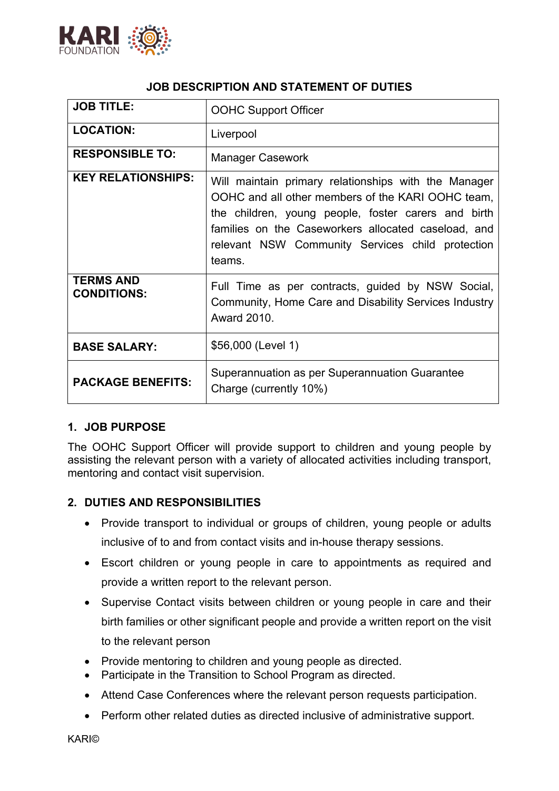

#### **JOB DESCRIPTION AND STATEMENT OF DUTIES**

| <b>JOB TITLE:</b>                      | <b>OOHC Support Officer</b>                                                                                                                                                                                                                                                           |
|----------------------------------------|---------------------------------------------------------------------------------------------------------------------------------------------------------------------------------------------------------------------------------------------------------------------------------------|
| <b>LOCATION:</b>                       | Liverpool                                                                                                                                                                                                                                                                             |
| <b>RESPONSIBLE TO:</b>                 | <b>Manager Casework</b>                                                                                                                                                                                                                                                               |
| <b>KEY RELATIONSHIPS:</b>              | Will maintain primary relationships with the Manager<br>OOHC and all other members of the KARI OOHC team,<br>the children, young people, foster carers and birth<br>families on the Caseworkers allocated caseload, and<br>relevant NSW Community Services child protection<br>teams. |
| <b>TERMS AND</b><br><b>CONDITIONS:</b> | Full Time as per contracts, guided by NSW Social,<br>Community, Home Care and Disability Services Industry<br><b>Award 2010.</b>                                                                                                                                                      |
| <b>BASE SALARY:</b>                    | \$56,000 (Level 1)                                                                                                                                                                                                                                                                    |
| <b>PACKAGE BENEFITS:</b>               | Superannuation as per Superannuation Guarantee<br>Charge (currently 10%)                                                                                                                                                                                                              |

## **1. JOB PURPOSE**

The OOHC Support Officer will provide support to children and young people by assisting the relevant person with a variety of allocated activities including transport, mentoring and contact visit supervision.

## **2. DUTIES AND RESPONSIBILITIES**

- Provide transport to individual or groups of children, young people or adults inclusive of to and from contact visits and in-house therapy sessions.
- Escort children or young people in care to appointments as required and provide a written report to the relevant person.
- Supervise Contact visits between children or young people in care and their birth families or other significant people and provide a written report on the visit to the relevant person
- Provide mentoring to children and young people as directed.
- Participate in the Transition to School Program as directed.
- Attend Case Conferences where the relevant person requests participation.
- Perform other related duties as directed inclusive of administrative support.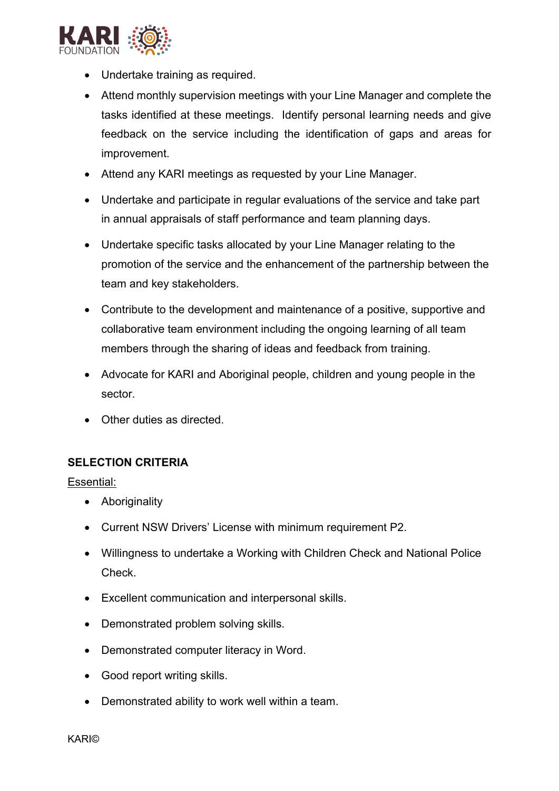

- Undertake training as required.
- Attend monthly supervision meetings with your Line Manager and complete the tasks identified at these meetings. Identify personal learning needs and give feedback on the service including the identification of gaps and areas for improvement.
- Attend any KARI meetings as requested by your Line Manager.
- Undertake and participate in regular evaluations of the service and take part in annual appraisals of staff performance and team planning days.
- Undertake specific tasks allocated by your Line Manager relating to the promotion of the service and the enhancement of the partnership between the team and key stakeholders.
- Contribute to the development and maintenance of a positive, supportive and collaborative team environment including the ongoing learning of all team members through the sharing of ideas and feedback from training.
- Advocate for KARI and Aboriginal people, children and young people in the sector.
- Other duties as directed.

#### **SELECTION CRITERIA**

Essential:

- Aboriginality
- Current NSW Drivers' License with minimum requirement P2.
- Willingness to undertake a Working with Children Check and National Police Check.
- Excellent communication and interpersonal skills.
- Demonstrated problem solving skills.
- Demonstrated computer literacy in Word.
- Good report writing skills.
- Demonstrated ability to work well within a team.